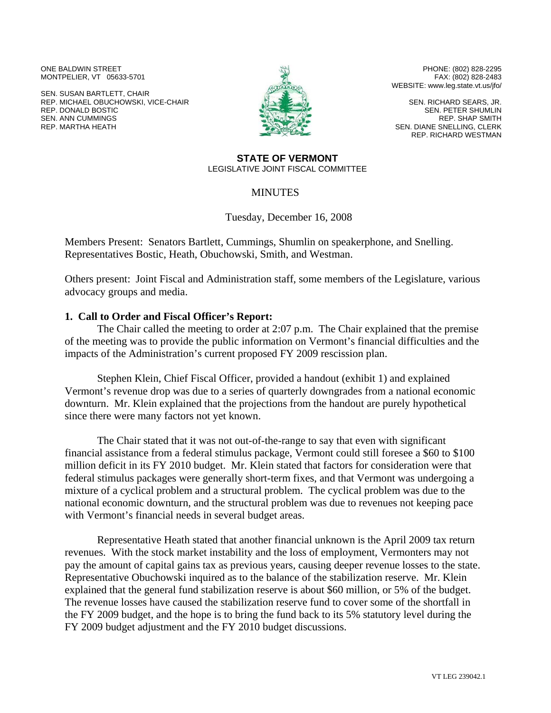ONE BALDWIN STREET MONTPELIER, VT 05633-5701

SEN. SUSAN BARTLETT, CHAIR REP. MICHAEL OBUCHOWSKI, VICE-CHAIR REP. DONALD BOSTIC SEN. ANN CUMMINGS REP. MARTHA HEATH



PHONE: (802) 828-2295 FAX: (802) 828-2483 WEBSITE: www.leg.state.vt.us/jfo/

SEN. RICHARD SEARS, JR. SEN. PETER SHUMLIN REP. SHAP SMITH SEN. DIANE SNELLING, CLERK REP. RICHARD WESTMAN

## **STATE OF VERMONT**  LEGISLATIVE JOINT FISCAL COMMITTEE

**MINUTES** 

Tuesday, December 16, 2008

Members Present: Senators Bartlett, Cummings, Shumlin on speakerphone, and Snelling. Representatives Bostic, Heath, Obuchowski, Smith, and Westman.

Others present: Joint Fiscal and Administration staff, some members of the Legislature, various advocacy groups and media.

## **1. Call to Order and Fiscal Officer's Report:**

 The Chair called the meeting to order at 2:07 p.m. The Chair explained that the premise of the meeting was to provide the public information on Vermont's financial difficulties and the impacts of the Administration's current proposed FY 2009 rescission plan.

Stephen Klein, Chief Fiscal Officer, provided a handout (exhibit 1) and explained Vermont's revenue drop was due to a series of quarterly downgrades from a national economic downturn. Mr. Klein explained that the projections from the handout are purely hypothetical since there were many factors not yet known.

The Chair stated that it was not out-of-the-range to say that even with significant financial assistance from a federal stimulus package, Vermont could still foresee a \$60 to \$100 million deficit in its FY 2010 budget. Mr. Klein stated that factors for consideration were that federal stimulus packages were generally short-term fixes, and that Vermont was undergoing a mixture of a cyclical problem and a structural problem. The cyclical problem was due to the national economic downturn, and the structural problem was due to revenues not keeping pace with Vermont's financial needs in several budget areas.

Representative Heath stated that another financial unknown is the April 2009 tax return revenues. With the stock market instability and the loss of employment, Vermonters may not pay the amount of capital gains tax as previous years, causing deeper revenue losses to the state. Representative Obuchowski inquired as to the balance of the stabilization reserve. Mr. Klein explained that the general fund stabilization reserve is about \$60 million, or 5% of the budget. The revenue losses have caused the stabilization reserve fund to cover some of the shortfall in the FY 2009 budget, and the hope is to bring the fund back to its 5% statutory level during the FY 2009 budget adjustment and the FY 2010 budget discussions.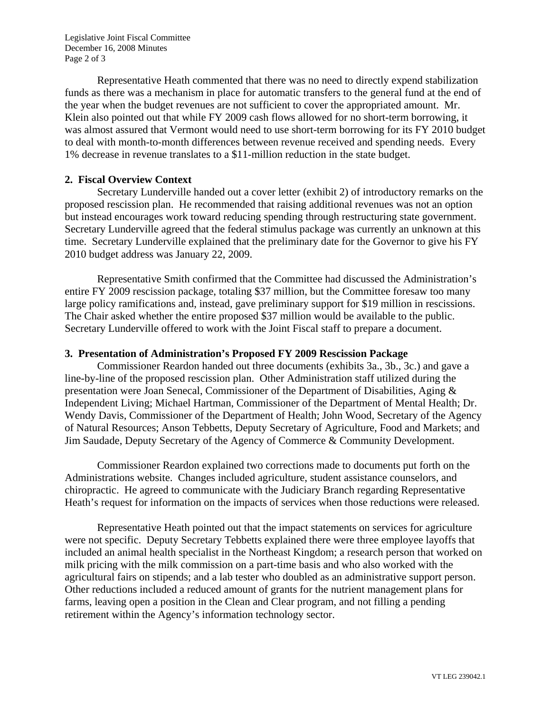Legislative Joint Fiscal Committee December 16, 2008 Minutes Page 2 of 3

Representative Heath commented that there was no need to directly expend stabilization funds as there was a mechanism in place for automatic transfers to the general fund at the end of the year when the budget revenues are not sufficient to cover the appropriated amount. Mr. Klein also pointed out that while FY 2009 cash flows allowed for no short-term borrowing, it was almost assured that Vermont would need to use short-term borrowing for its FY 2010 budget to deal with month-to-month differences between revenue received and spending needs. Every 1% decrease in revenue translates to a \$11-million reduction in the state budget.

## **2. Fiscal Overview Context**

 Secretary Lunderville handed out a cover letter (exhibit 2) of introductory remarks on the proposed rescission plan. He recommended that raising additional revenues was not an option but instead encourages work toward reducing spending through restructuring state government. Secretary Lunderville agreed that the federal stimulus package was currently an unknown at this time. Secretary Lunderville explained that the preliminary date for the Governor to give his FY 2010 budget address was January 22, 2009.

Representative Smith confirmed that the Committee had discussed the Administration's entire FY 2009 rescission package, totaling \$37 million, but the Committee foresaw too many large policy ramifications and, instead, gave preliminary support for \$19 million in rescissions. The Chair asked whether the entire proposed \$37 million would be available to the public. Secretary Lunderville offered to work with the Joint Fiscal staff to prepare a document.

## **3. Presentation of Administration's Proposed FY 2009 Rescission Package**

 Commissioner Reardon handed out three documents (exhibits 3a., 3b., 3c.) and gave a line-by-line of the proposed rescission plan. Other Administration staff utilized during the presentation were Joan Senecal, Commissioner of the Department of Disabilities, Aging & Independent Living; Michael Hartman, Commissioner of the Department of Mental Health; Dr. Wendy Davis, Commissioner of the Department of Health; John Wood, Secretary of the Agency of Natural Resources; Anson Tebbetts, Deputy Secretary of Agriculture, Food and Markets; and Jim Saudade, Deputy Secretary of the Agency of Commerce & Community Development.

Commissioner Reardon explained two corrections made to documents put forth on the Administrations website. Changes included agriculture, student assistance counselors, and chiropractic. He agreed to communicate with the Judiciary Branch regarding Representative Heath's request for information on the impacts of services when those reductions were released.

Representative Heath pointed out that the impact statements on services for agriculture were not specific. Deputy Secretary Tebbetts explained there were three employee layoffs that included an animal health specialist in the Northeast Kingdom; a research person that worked on milk pricing with the milk commission on a part-time basis and who also worked with the agricultural fairs on stipends; and a lab tester who doubled as an administrative support person. Other reductions included a reduced amount of grants for the nutrient management plans for farms, leaving open a position in the Clean and Clear program, and not filling a pending retirement within the Agency's information technology sector.